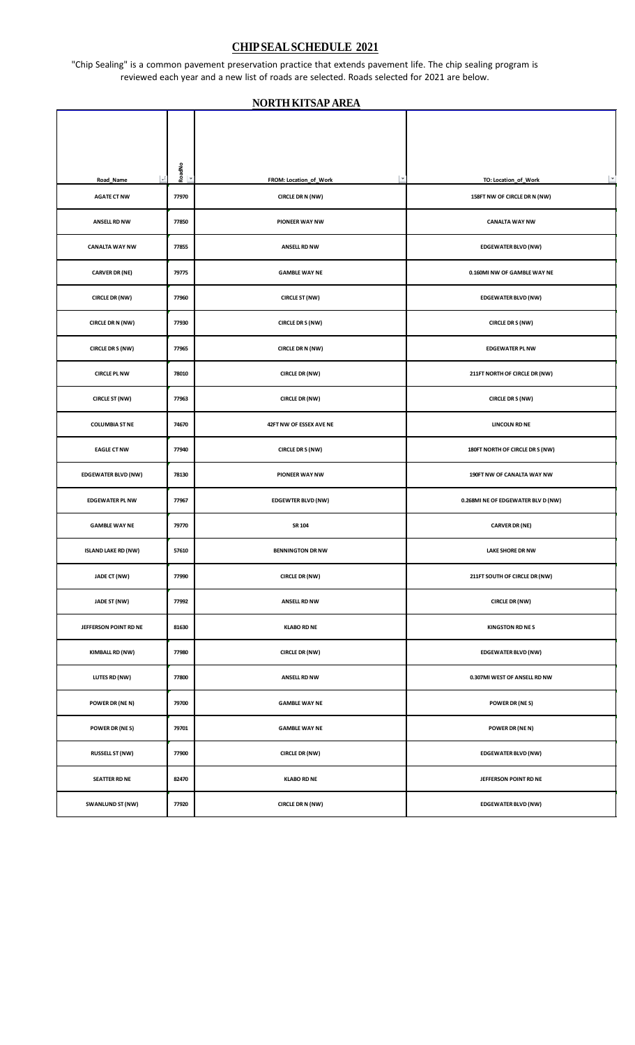## **CHIPSEALSCHEDULE 2021**

"Chip Sealing" is a common pavement preservation practice that extends pavement life. The chip sealing program is reviewed each year and a new list of roads are selected. Roads selected for 2021 are below.

## **NORTHKITSAP AREA**

┯

Г

T

| $\rightarrow$ 1<br>Road_Name | $\begin{array}{c}\n\hline\n\text{ReadNo} \\ \hline\n\end{array}$ | $\vert \nabla$<br>FROM: Location_of_Work | $\overline{\phantom{a}}$<br>TO: Location_of_Work |
|------------------------------|------------------------------------------------------------------|------------------------------------------|--------------------------------------------------|
| <b>AGATE CT NW</b>           | 77970                                                            | CIRCLE DR N (NW)                         | 158FT NW OF CIRCLE DR N (NW)                     |
| <b>ANSELL RD NW</b>          | 77850                                                            | PIONEER WAY NW                           | <b>CANALTA WAY NW</b>                            |
| <b>CANALTA WAY NW</b>        | 77855                                                            | <b>ANSELL RD NW</b>                      | <b>EDGEWATER BLVD (NW)</b>                       |
| <b>CARVER DR (NE)</b>        | 79775                                                            | <b>GAMBLE WAY NE</b>                     | 0.160MI NW OF GAMBLE WAY NE                      |
| <b>CIRCLE DR (NW)</b>        | 77960                                                            | <b>CIRCLE ST (NW)</b>                    | <b>EDGEWATER BLVD (NW)</b>                       |
| CIRCLE DR N (NW)             | 77930                                                            | <b>CIRCLE DR S (NW)</b>                  | <b>CIRCLE DR S (NW)</b>                          |
| <b>CIRCLE DR S (NW)</b>      | 77965                                                            | CIRCLE DR N (NW)                         | <b>EDGEWATER PL NW</b>                           |
| <b>CIRCLE PL NW</b>          | 78010                                                            | CIRCLE DR (NW)                           | 211FT NORTH OF CIRCLE DR (NW)                    |
| <b>CIRCLE ST (NW)</b>        | 77963                                                            | <b>CIRCLE DR (NW)</b>                    | <b>CIRCLE DR S (NW)</b>                          |
| <b>COLUMBIA ST NE</b>        | 74670                                                            | 42FT NW OF ESSEX AVE NE                  | <b>LINCOLN RD NE</b>                             |
| <b>EAGLE CT NW</b>           | 77940                                                            | CIRCLE DR S (NW)                         | 180FT NORTH OF CIRCLE DR S (NW)                  |
| <b>EDGEWATER BLVD (NW)</b>   | 78130                                                            | PIONEER WAY NW                           | 190FT NW OF CANALTA WAY NW                       |
| <b>EDGEWATER PL NW</b>       | 77967                                                            | <b>EDGEWTER BLVD (NW)</b>                | 0.268MI NE OF EDGEWATER BLV D (NW)               |
| <b>GAMBLE WAY NE</b>         | 79770                                                            | SR 104                                   | <b>CARVER DR (NE)</b>                            |
| <b>ISLAND LAKE RD (NW)</b>   | 57610                                                            | <b>BENNINGTON DR NW</b>                  | <b>LAKE SHORE DR NW</b>                          |
| JADE CT (NW)                 | 77990                                                            | CIRCLE DR (NW)                           | 211FT SOUTH OF CIRCLE DR (NW)                    |
| JADE ST (NW)                 | 77992                                                            | <b>ANSELL RD NW</b>                      | <b>CIRCLE DR (NW)</b>                            |
| JEFFERSON POINT RD NE        | 81630                                                            | <b>KLABO RD NE</b>                       | <b>KINGSTON RD NES</b>                           |
| KIMBALL RD (NW)              | 77980                                                            | <b>CIRCLE DR (NW)</b>                    | <b>EDGEWATER BLVD (NW)</b>                       |
| LUTES RD (NW)                | 77800                                                            | <b>ANSELL RD NW</b>                      | 0.307MI WEST OF ANSELL RD NW                     |
| POWER DR (NE N)              | 79700                                                            | <b>GAMBLE WAY NE</b>                     | <b>POWER DR (NE S)</b>                           |
| <b>POWER DR (NES)</b>        | 79701                                                            | <b>GAMBLE WAY NE</b>                     | POWER DR (NE N)                                  |
| <b>RUSSELL ST (NW)</b>       | 77900                                                            | <b>CIRCLE DR (NW)</b>                    | <b>EDGEWATER BLVD (NW)</b>                       |
| <b>SEATTER RD NE</b>         | 82470                                                            | <b>KLABO RD NE</b>                       | JEFFERSON POINT RD NE                            |
| SWANLUND ST (NW)             | 77920                                                            | CIRCLE DR N (NW)                         | <b>EDGEWATER BLVD (NW)</b>                       |
|                              |                                                                  |                                          |                                                  |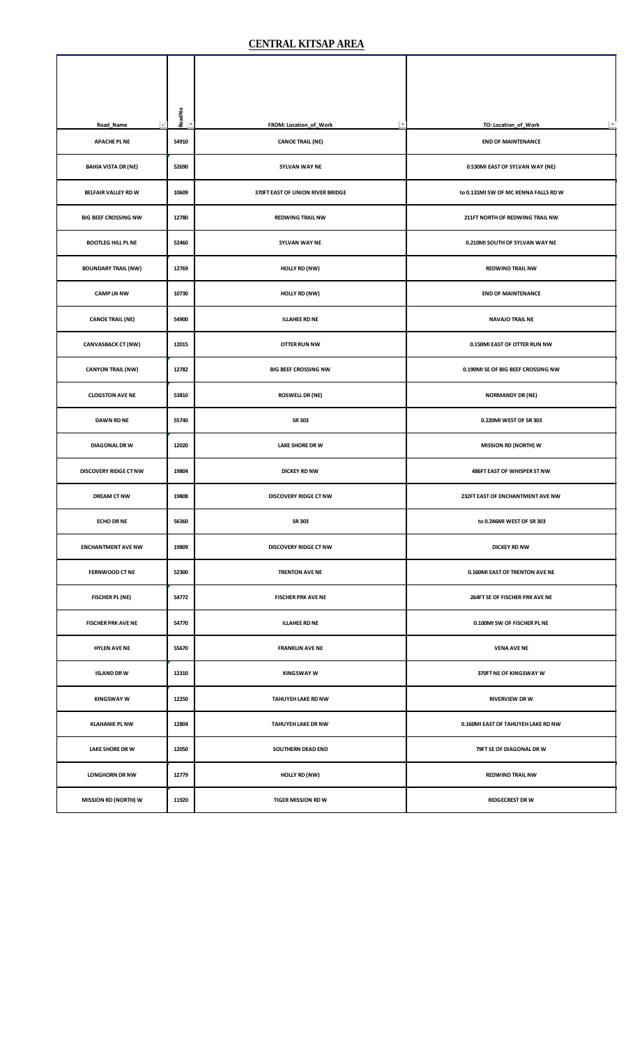| $\mathcal{F}$<br>Road_Name   | RoadNo<br>l v | FROM: Location_of_Work<br>$\overline{\phantom{a}}$ | $\overline{\phantom{a}}$<br>TO: Location_of_Work |
|------------------------------|---------------|----------------------------------------------------|--------------------------------------------------|
| <b>APACHE PL NE</b>          | 54910         | <b>CANOE TRAIL (NE)</b>                            | <b>END OF MAINTENANCE</b>                        |
| <b>BAHIA VISTA DR (NE)</b>   | 52690         | SYLVAN WAY NE                                      | 0.530MI EAST OF SYLVAN WAY (NE)                  |
| BELFAIR VALLEY RD W          | 10609         | 370FT EAST OF UNION RIVER BRIDGE                   | to 0.131MI SW OF MC KENNA FALLS RD W             |
| <b>BIG BEEF CROSSING NW</b>  | 12780         | <b>REDWING TRAIL NW</b>                            | 211FT NORTH OF REDWING TRAIL NW                  |
| <b>BOOTLEG HILL PL NE</b>    | 52460         | SYLVAN WAY NE                                      | 0.210MI SOUTH OF SYLVAN WAY NE                   |
| <b>BOUNDARY TRAIL (NW)</b>   | 12769         | HOLLY RD (NW)                                      | <b>REDWIND TRAIL NW</b>                          |
| <b>CAMP LN NW</b>            | 10730         | HOLLY RD (NW)                                      | <b>END OF MAINTENANCE</b>                        |
| <b>CANOE TRAIL (NE)</b>      | 54900         | <b>ILLAHEE RD NE</b>                               | <b>NAVAJO TRAIL NE</b>                           |
| <b>CANVASBACK CT (NW)</b>    | 12015         | <b>OTTER RUN NW</b>                                | 0.150MI EAST OF OTTER RUN NW                     |
| <b>CANYON TRAIL (NW)</b>     | 12782         | <b>BIG BEEF CROSSING NW</b>                        | 0.190MI SE OF BIG BEEF CROSSING NW               |
| <b>CLOGSTON AVE NE</b>       | 53810         | <b>ROSWELL DR (NE)</b>                             | <b>NORMANDY DR (NE)</b>                          |
| <b>DAWN RD NE</b>            | 55740         | SR 303                                             | 0.220MI WEST OF SR 303                           |
| <b>DIAGONAL DRW</b>          | 12020         | <b>LAKE SHORE DR W</b>                             | <b>MISSION RD (NORTH) W</b>                      |
| <b>DISCOVERY RIDGE CT NW</b> | 19804         | <b>DICKEY RD NW</b>                                | 486FT EAST OF WHISPER ST NW                      |
| <b>DREAM CT NW</b>           | 19808         | <b>DISCOVERY RIDGE CT NW</b>                       | 232FT EAST OF ENCHANTMENT AVE NW                 |
| <b>ECHO DR NE</b>            | 56360         | SR 303                                             | to 0.246MI WEST OF SR 303                        |
| <b>ENCHANTMENT AVE NW</b>    | 19809         | <b>DISCOVERY RIDGE CT NW</b>                       | <b>DICKEY RD NW</b>                              |
| FERNWOOD CT NE               | 52300         | TRENTON AVE NE                                     | 0.160MI EAST OF TRENTON AVE NE                   |
| <b>FISCHER PL (NE)</b>       | 54772         | <b>FISCHER PRK AVE NE</b>                          | 264FT SE OF FISCHER PRK AVE NE                   |
| <b>FISCHER PRK AVE NE</b>    | 54770         | <b>ILLAHEE RD NE</b>                               | 0.100MI SW OF FISCHER PL NE                      |
| <b>HYLEN AVE NE</b>          | 55670         | <b>FRANKLIN AVE NE</b>                             | <b>VENA AVE NE</b>                               |
| <b>ISLAND DRW</b>            | 12310         | <b>KINGSWAY W</b>                                  | 370FT NE OF KINGSWAY W                           |
| <b>KINGSWAY W</b>            | 12250         | TAHUYEH LAKE RD NW                                 | <b>RIVERVIEW DRW</b>                             |
| <b>KLAHANIE PL NW</b>        | 12804         | TAHUYEH LAKE DR NW                                 | 0.160MI EAST OF TAHUYEH LAKE RD NW               |
| <b>LAKE SHORE DR W</b>       | 12050         | SOUTHERN DEAD END                                  | 79FT SE OF DIAGONAL DR W                         |
| <b>LONGHORN DR NW</b>        | 12779         | HOLLY RD (NW)                                      | <b>REDWIND TRAIL NW</b>                          |
| <b>MISSION RD (NORTH) W</b>  | 11920         | <b>TIGER MISSION RD W</b>                          | <b>RIDGECREST DRW</b>                            |
|                              |               |                                                    |                                                  |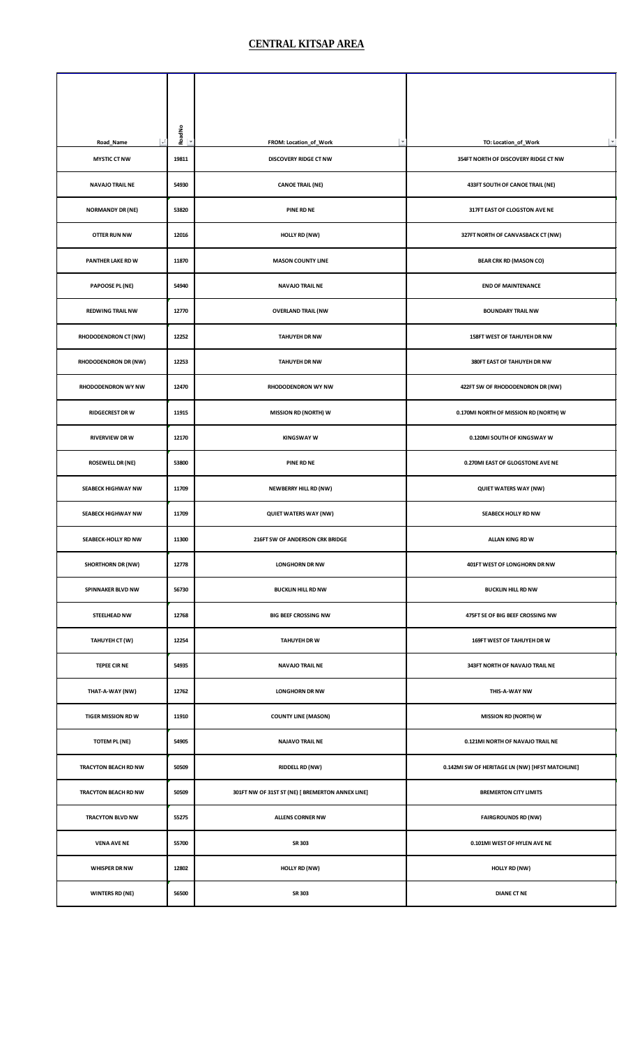| $\mathcal{A}$<br>Road_Name  | RoadNo | FROM: Location_of_Work                           | $\overline{\phantom{a}}$<br>TO: Location_of_Work |
|-----------------------------|--------|--------------------------------------------------|--------------------------------------------------|
| <b>MYSTIC CT NW</b>         | 19811  | DISCOVERY RIDGE CT NW                            | 354FT NORTH OF DISCOVERY RIDGE CT NW             |
| <b>NAVAJO TRAIL NE</b>      | 54930  | <b>CANOE TRAIL (NE)</b>                          | 433FT SOUTH OF CANOE TRAIL (NE)                  |
| <b>NORMANDY DR (NE)</b>     | 53820  | <b>PINE RD NE</b>                                | 317FT EAST OF CLOGSTON AVE NE                    |
| <b>OTTER RUN NW</b>         | 12016  | HOLLY RD (NW)                                    | 327FT NORTH OF CANVASBACK CT (NW)                |
| PANTHER LAKE RD W           | 11870  | <b>MASON COUNTY LINE</b>                         | <b>BEAR CRK RD (MASON CO)</b>                    |
| PAPOOSE PL (NE)             | 54940  | <b>NAVAJO TRAIL NE</b>                           | <b>END OF MAINTENANCE</b>                        |
| <b>REDWING TRAIL NW</b>     | 12770  | <b>OVERLAND TRAIL (NW</b>                        | <b>BOUNDARY TRAIL NW</b>                         |
| RHODODENDRON CT (NW)        | 12252  | <b>TAHUYEH DR NW</b>                             | 158FT WEST OF TAHUYEH DR NW                      |
| <b>RHODODENDRON DR (NW)</b> | 12253  | <b>TAHUYEH DR NW</b>                             | 380FT EAST OF TAHUYEH DR NW                      |
| RHODODENDRON WY NW          | 12470  | RHODODENDRON WY NW                               | 422FT SW OF RHODODENDRON DR (NW)                 |
| <b>RIDGECREST DR W</b>      | 11915  | <b>MISSION RD (NORTH) W</b>                      | 0.170MI NORTH OF MISSION RD (NORTH) W            |
| <b>RIVERVIEW DRW</b>        | 12170  | <b>KINGSWAY W</b>                                | 0.120MI SOUTH OF KINGSWAY W                      |
| <b>ROSEWELL DR (NE)</b>     | 53800  | PINE RD NE                                       | 0.270MI EAST OF GLOGSTONE AVE NE                 |
| <b>SEABECK HIGHWAY NW</b>   | 11709  | <b>NEWBERRY HILL RD (NW)</b>                     | <b>QUIET WATERS WAY (NW)</b>                     |
| <b>SEABECK HIGHWAY NW</b>   | 11709  | <b>QUIET WATERS WAY (NW)</b>                     | <b>SEABECK HOLLY RD NW</b>                       |
| SEABECK-HOLLY RD NW         | 11300  | 216FT SW OF ANDERSON CRK BRIDGE                  | ALLAN KING RD W                                  |
| <b>SHORTHORN DR (NW)</b>    | 12778  | <b>LONGHORN DR NW</b>                            | 401FT WEST OF LONGHORN DR NW                     |
| SPINNAKER BLVD NW           | 56730  | <b>BUCKLIN HILL RD NW</b>                        | <b>BUCKLIN HILL RD NW</b>                        |
| STEELHEAD NW                | 12768  | <b>BIG BEEF CROSSING NW</b>                      | 475FT SE OF BIG BEEF CROSSING NW                 |
| TAHUYEH CT (W)              | 12254  | <b>TAHUYEH DR W</b>                              | 169FT WEST OF TAHUYEH DR W                       |
| <b>TEPEE CIR NE</b>         | 54935  | <b>NAVAJO TRAIL NE</b>                           | 343FT NORTH OF NAVAJO TRAIL NE                   |
| THAT-A-WAY (NW)             | 12762  | <b>LONGHORN DR NW</b>                            | THIS-A-WAY NW                                    |
| <b>TIGER MISSION RD W</b>   | 11910  | <b>COUNTY LINE (MASON)</b>                       | <b>MISSION RD (NORTH) W</b>                      |
| <b>TOTEM PL (NE)</b>        | 54905  | <b>NAJAVO TRAIL NE</b>                           | 0.121MI NORTH OF NAVAJO TRAIL NE                 |
| TRACYTON BEACH RD NW        | 50509  | <b>RIDDELL RD (NW)</b>                           | 0.142MI SW OF HERITAGE LN (NW) [HFST MATCHLINE]  |
| TRACYTON BEACH RD NW        | 50509  | 301FT NW OF 31ST ST (NE) [ BREMERTON ANNEX LINE] | <b>BREMERTON CITY LIMITS</b>                     |
| TRACYTON BLVD NW            | 55275  | <b>ALLENS CORNER NW</b>                          | <b>FAIRGROUNDS RD (NW)</b>                       |
| <b>VENA AVE NE</b>          | 55700  | SR 303                                           | 0.101MI WEST OF HYLEN AVE NE                     |
| <b>WHISPER DR NW</b>        | 12802  | HOLLY RD (NW)                                    | HOLLY RD (NW)                                    |
| <b>WINTERS RD (NE)</b>      | 56500  | SR 303                                           | <b>DIANE CT NE</b>                               |